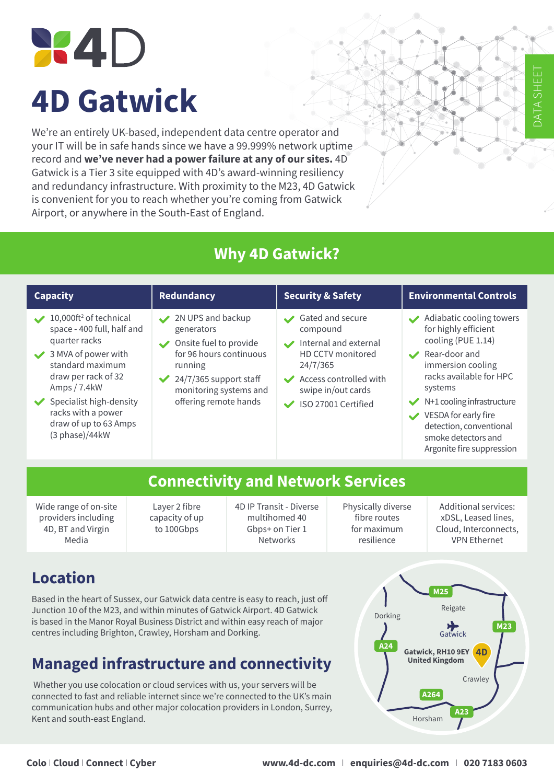# **X4D 4D Gatwick**

We're an entirely UK-based, independent data centre operator and your IT will be in safe hands since we have a 99.999% network uptime record and **we've never had a power failure at any of our sites.** 4D Gatwick is a Tier 3 site equipped with 4D's award-winning resiliency and redundancy infrastructure. With proximity to the M23, 4D Gatwick is convenient for you to reach whether you're coming from Gatwick Airport, or anywhere in the South-East of England.

## **Why 4D Gatwick?**

| <b>Capacity</b>                                                                                                                                                                                                                                                                                                                                                                                                                                                       | <b>Redundancy</b>                             |                                                                                                                                                                                                                     | <b>Security &amp; Safety</b> |                                                                                                                                                                                                                                                                                                                                                   | <b>Environmental Controls</b> |                                                                                                    |  |  |  |
|-----------------------------------------------------------------------------------------------------------------------------------------------------------------------------------------------------------------------------------------------------------------------------------------------------------------------------------------------------------------------------------------------------------------------------------------------------------------------|-----------------------------------------------|---------------------------------------------------------------------------------------------------------------------------------------------------------------------------------------------------------------------|------------------------------|---------------------------------------------------------------------------------------------------------------------------------------------------------------------------------------------------------------------------------------------------------------------------------------------------------------------------------------------------|-------------------------------|----------------------------------------------------------------------------------------------------|--|--|--|
| 10,000ft <sup>2</sup> of technical<br>2N UPS and backup<br>space - 400 full, half and<br>generators<br>quarter racks<br>Onsite fuel to provide<br>for 96 hours continuous<br>3 MVA of power with<br>standard maximum<br>running<br>draw per rack of 32<br>24/7/365 support staff<br>Amps / 7.4kW<br>monitoring systems and<br>offering remote hands<br>$\blacktriangleright$ Specialist high-density<br>racks with a power<br>draw of up to 63 Amps<br>(3 phase)/44kW |                                               | Gated and secure<br>compound<br>Internal and external<br>$\boldsymbol{\mathcal{L}}$<br>HD CCTV monitored<br>24/7/365<br>Access controlled with<br>$\blacktriangledown$<br>swipe in/out cards<br>ISO 27001 Certified |                              | Adiabatic cooling towers<br>$\boldsymbol{\mathcal{L}}$<br>for highly efficient<br>cooling (PUE 1.14)<br>Rear-door and<br>$\overline{\phantom{a}}$<br>immersion cooling<br>racks available for HPC<br>systems<br>N+1 cooling infrastructure<br>VESDA for early fire<br>detection, conventional<br>smoke detectors and<br>Argonite fire suppression |                               |                                                                                                    |  |  |  |
|                                                                                                                                                                                                                                                                                                                                                                                                                                                                       |                                               |                                                                                                                                                                                                                     |                              |                                                                                                                                                                                                                                                                                                                                                   |                               |                                                                                                    |  |  |  |
| <b>Connectivity and Network Services</b>                                                                                                                                                                                                                                                                                                                                                                                                                              |                                               |                                                                                                                                                                                                                     |                              |                                                                                                                                                                                                                                                                                                                                                   |                               |                                                                                                    |  |  |  |
| Wide range of on-site<br>providers including<br>4D, BT and Virgin<br>Media                                                                                                                                                                                                                                                                                                                                                                                            | Layer 2 fibre<br>capacity of up<br>to 100Gbps | 4D IP Transit - Diverse<br>multihomed 40<br>Gbps+ on Tier 1<br><b>Networks</b>                                                                                                                                      |                              | Physically diverse<br>fibre routes<br>for maximum<br>resilience                                                                                                                                                                                                                                                                                   |                               | <b>Additional services:</b><br>xDSL, Leased lines,<br>Cloud, Interconnects,<br><b>VPN Ethernet</b> |  |  |  |
|                                                                                                                                                                                                                                                                                                                                                                                                                                                                       |                                               |                                                                                                                                                                                                                     |                              |                                                                                                                                                                                                                                                                                                                                                   |                               |                                                                                                    |  |  |  |

## **Location**

Based in the heart of Sussex, our Gatwick data centre is easy to reach, just off Junction 10 of the M23, and within minutes of Gatwick Airport. 4D Gatwick is based in the Manor Royal Business District and within easy reach of major centres including Brighton, Crawley, Horsham and Dorking.

## **Managed infrastructure and connectivity**

 Whether you use colocation or cloud services with us, your servers will be connected to fast and reliable internet since we're connected to the UK's main communication hubs and other major colocation providers in London, Surrey, Kent and south-east England.



DATA SHEET